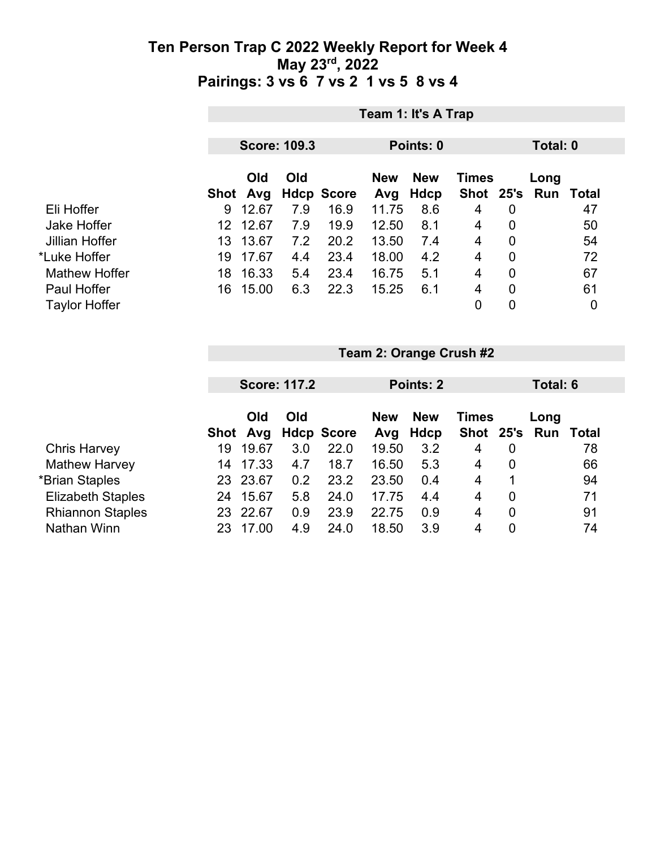|                      | Team 1: It's A Trap |                 |                     |                   |                   |                    |                |                |                             |    |
|----------------------|---------------------|-----------------|---------------------|-------------------|-------------------|--------------------|----------------|----------------|-----------------------------|----|
|                      |                     |                 | <b>Score: 109.3</b> |                   |                   | Points: 0          |                | Total: 0       |                             |    |
|                      |                     | Old<br>Shot Avg | Old                 | <b>Hdcp Score</b> | <b>New</b><br>Avg | <b>New</b><br>Hdcp | <b>Times</b>   |                | Long<br>Shot 25's Run Total |    |
| Eli Hoffer           | 9                   | 12.67           | 7.9                 | 16.9              | 11.75             | 8.6                | 4              | 0              |                             | 47 |
| Jake Hoffer          | 12.                 | 12.67           | 7.9                 | 19.9              | 12.50             | 8.1                | 4              | 0              |                             | 50 |
| Jillian Hoffer       | 13.                 | 13.67           | 7.2                 | 20.2              | 13.50             | 7.4                | 4              | $\overline{0}$ |                             | 54 |
| *Luke Hoffer         | 19                  | 17.67           | 4.4                 | 23.4              | 18.00             | 4.2                | $\overline{4}$ | 0              |                             | 72 |
| <b>Mathew Hoffer</b> | 18                  | 16.33           | 5.4                 | 23.4              | 16.75             | 5.1                | 4              | 0              |                             | 67 |
| Paul Hoffer          | 16                  | 15.00           | 6.3                 | 22.3              | 15.25             | 6.1                | 4              | $\overline{0}$ |                             | 61 |
| <b>Taylor Hoffer</b> |                     |                 |                     |                   |                   |                    | $\overline{0}$ | 0              |                             | 0  |

|                          |      | <b>Score: 117.2</b> |     |                   |       | Points: 2                                |               |   |      | Total: 6     |  |
|--------------------------|------|---------------------|-----|-------------------|-------|------------------------------------------|---------------|---|------|--------------|--|
|                          |      | Old<br>Old          |     |                   |       | <b>New</b><br><b>New</b><br><b>Times</b> |               |   | Long |              |  |
|                          | Shot | Avg                 |     | <b>Hdcp Score</b> | Avg   | Hdcp                                     | Shot 25's Run |   |      | <b>Total</b> |  |
| <b>Chris Harvey</b>      | 19   | 19.67               | 3.0 | 22.0              | 19.50 | 3.2                                      | 4             | 0 |      | 78           |  |
| <b>Mathew Harvey</b>     | 14   | 17.33               | 4.7 | 18.7              | 16.50 | 5.3                                      | 4             | 0 |      | 66           |  |
| *Brian Staples           | 23   | 23.67               | 0.2 | 23.2              | 23.50 | 0.4                                      | 4             | 1 |      | 94           |  |
| <b>Elizabeth Staples</b> | 24   | 15.67               | 5.8 | 24.0              | 17.75 | 4.4                                      | 4             | 0 |      | 71           |  |
| <b>Rhiannon Staples</b>  | 23   | 22.67               | 0.9 | 23.9              | 22.75 | 0.9                                      | 4             | 0 |      | 91           |  |
| Nathan Winn              | 23   | 17.00               | 4.9 | 24.0              | 18.50 | 3.9                                      | 4             | 0 |      | 74           |  |

**Team 2: Orange Crush #2**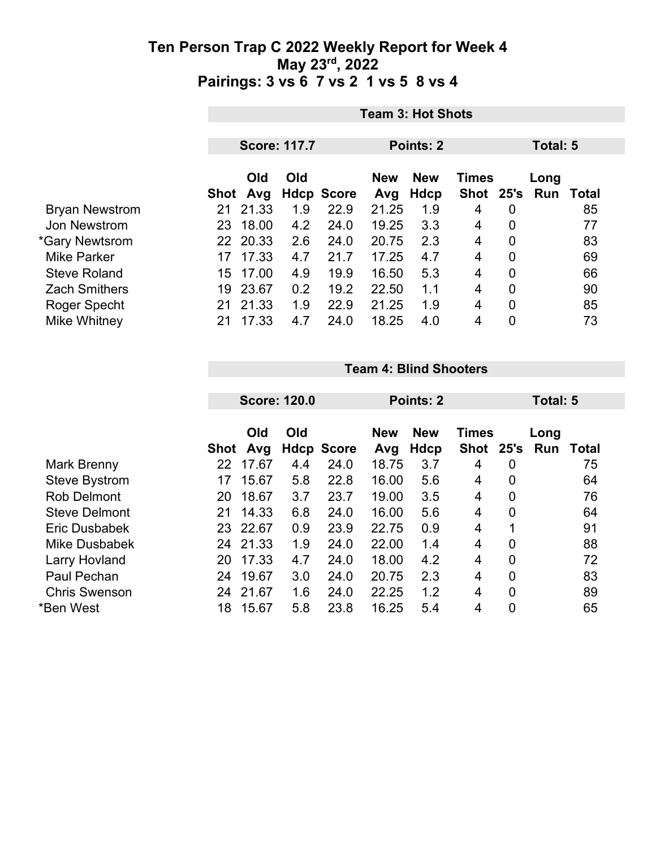|                       | <b>Team 3: Hot Shots</b> |          |     |                   |            |              |               |                |  |       |
|-----------------------|--------------------------|----------|-----|-------------------|------------|--------------|---------------|----------------|--|-------|
|                       |                          |          |     |                   |            |              |               |                |  |       |
|                       | <b>Score: 117.7</b>      |          |     | <b>Points: 2</b>  |            |              |               | Total: 5       |  |       |
|                       | <b>Old</b><br>Old        |          |     | <b>New</b>        | <b>New</b> | <b>Times</b> |               | Long           |  |       |
|                       | Shot                     | Avg      |     | <b>Hdcp Score</b> | Avg        | Hdcp         | Shot 25's Run |                |  | Total |
| <b>Bryan Newstrom</b> | 21                       | 21.33    | 1.9 | 22.9              | 21.25      | 1.9          | 4             | 0              |  | 85    |
| Jon Newstrom          | 23                       | 18.00    | 4.2 | 24.0              | 19.25      | 3.3          | 4             | 0              |  | 77    |
| *Gary Newtsrom        |                          | 22 20.33 | 2.6 | 24.0              | 20.75      | 2.3          | 4             | $\mathbf 0$    |  | 83    |
| <b>Mike Parker</b>    | 17                       | 17.33    | 4.7 | 21.7              | 17.25      | 4.7          | 4             | $\overline{0}$ |  | 69    |
| <b>Steve Roland</b>   | 15                       | 17.00    | 4.9 | 19.9              | 16.50      | 5.3          | 4             | $\mathbf 0$    |  | 66    |
| <b>Zach Smithers</b>  | 19                       | 23.67    | 0.2 | 19.2              | 22.50      | 1.1          | 4             | $\overline{0}$ |  | 90    |
| Roger Specht          | 21                       | 21.33    | 1.9 | 22.9              | 21.25      | 1.9          | 4             | 0              |  | 85    |
| Mike Whitney          | 21                       | 17.33    | 4.7 | 24.0              | 18.25      | 4.0          | 4             | 0              |  | 73    |

#### **Team 4: Blind Shooters**

| <b>Score: 120.0</b> |       |                                      |      | <b>Points: 2</b>  |            |      |             | Total: 5             |       |  |
|---------------------|-------|--------------------------------------|------|-------------------|------------|------|-------------|----------------------|-------|--|
|                     | Old   | Old                                  |      | <b>New</b>        | <b>New</b> |      |             | Long                 | Total |  |
| 22                  | 17.67 | 4.4                                  | 24.0 | 18.75             | 3.7        | 4    | 0           |                      | 75    |  |
| 17                  | 15.67 | 5.8                                  | 22.8 | 16.00             | 5.6        | 4    | 0           |                      | 64    |  |
| 20                  | 18.67 | 3.7                                  | 23.7 | 19.00             | 3.5        | 4    | 0           |                      | 76    |  |
| 21                  | 14.33 | 6.8                                  | 24.0 | 16.00             | 5.6        | 4    | 0           |                      | 64    |  |
| 23                  |       | 0.9                                  | 23.9 | 22.75             | 0.9        | 4    | 1           |                      | 91    |  |
| 24                  |       | 1.9                                  | 24.0 | 22.00             | 1.4        | 4    | 0           |                      | 88    |  |
| 20                  | 17.33 | 4.7                                  | 24.0 | 18.00             | 4.2        | 4    | 0           |                      | 72    |  |
| 24                  | 19.67 | 3.0                                  | 24.0 | 20.75             | 2.3        | 4    | 0           |                      | 83    |  |
| 24                  | 21.67 | 1.6                                  | 24.0 | 22.25             | 1.2        | 4    | 0           |                      | 89    |  |
| 18                  | 15.67 | 5.8                                  | 23.8 | 16.25             | 5.4        | 4    | 0           |                      | 65    |  |
|                     |       | Avg<br><b>Shot</b><br>22.67<br>21.33 |      | <b>Hdcp Score</b> | Avg        | Hdcp | <b>Shot</b> | <b>Times</b><br>25's | Run   |  |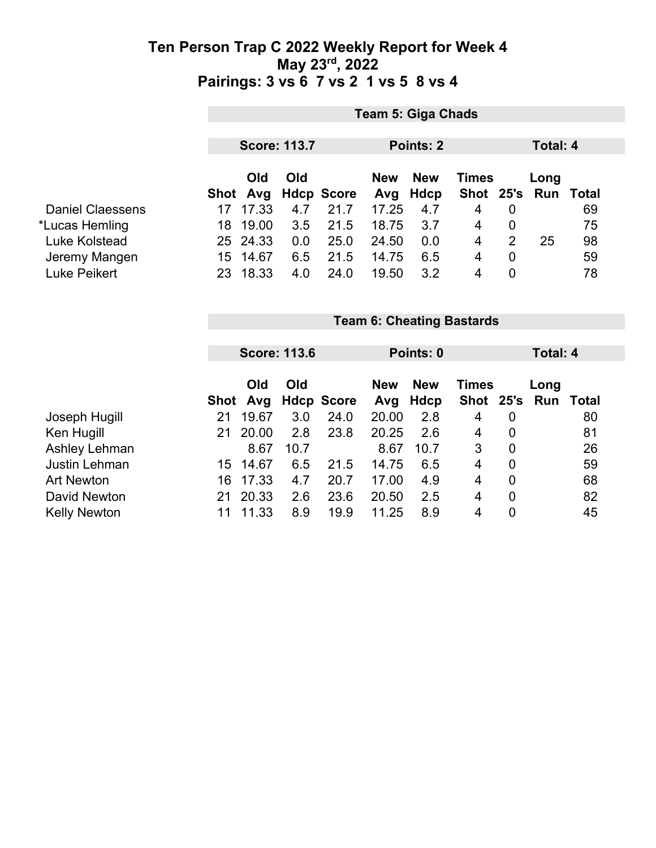|                         |                                  | <b>Team 5: Giga Chads</b> |     |                   |                   |                    |                           |             |          |                  |  |
|-------------------------|----------------------------------|---------------------------|-----|-------------------|-------------------|--------------------|---------------------------|-------------|----------|------------------|--|
|                         |                                  | <b>Score: 113.7</b>       |     |                   |                   | Points: 2          |                           |             | Total: 4 |                  |  |
|                         | Shot                             | Old<br>Avg                | Old | <b>Hdcp Score</b> | <b>New</b><br>Avg | <b>New</b><br>Hdcp | <b>Times</b><br>Shot 25's |             | Long     | <b>Run Total</b> |  |
| <b>Daniel Claessens</b> | 17                               | 17.33                     | 4.7 | 21.7              | 17.25             | 4.7                | $\overline{4}$            | $\mathbf 0$ |          | 69               |  |
| *Lucas Hemling          | 18                               | 19.00                     | 3.5 | 21.5              | 18.75             | 3.7                | $\overline{4}$            | $\mathbf 0$ |          | 75               |  |
| Luke Kolstead           |                                  | 25 24.33                  | 0.0 | 25.0              | 24.50             | 0.0                | 4                         | 2           | 25       | 98               |  |
| Jeremy Mangen           |                                  | 15 14.67                  | 6.5 | 21.5              | 14.75             | 6.5                | $\overline{4}$            | $\mathbf 0$ |          | 59               |  |
| Luke Peikert            |                                  | 23 18.33                  | 4.0 | 24.0              | 19.50             | 3.2                | $\overline{4}$            | $\mathbf 0$ |          | 78               |  |
|                         | <b>Team 6: Cheating Bastards</b> |                           |     |                   |                   |                    |                           |             |          |                  |  |
|                         |                                  |                           |     |                   |                   |                    |                           |             |          |                  |  |
|                         |                                  | <b>Score: 113.6</b>       |     |                   |                   | Points: 0          |                           |             | Total: 4 |                  |  |
|                         |                                  | Old                       | Old |                   | <b>New</b>        | <b>New</b>         | <b>Times</b>              |             | Long     |                  |  |

|                     |     |          |      | Shot Avg Hdcp Score Avg Hdcp |       |      |   |          | Shot 25's Run Total |
|---------------------|-----|----------|------|------------------------------|-------|------|---|----------|---------------------|
| Joseph Hugill       | 21  | 19.67    | 3.0  | 24.0                         | 20.00 | 2.8  | 4 | 0        | 80                  |
| Ken Hugill          | 21. | 20.00    | 2.8  | 23.8                         | 20.25 | 2.6  | 4 | $\Omega$ | 81                  |
| Ashley Lehman       |     | 8.67     | 10.7 |                              | 8.67  | 10.7 | 3 | $\Omega$ | 26                  |
| Justin Lehman       |     | 15 14.67 | 6.5  | 21.5                         | 14.75 | 6.5  | 4 | 0        | 59                  |
| <b>Art Newton</b>   |     | 16 17.33 | 4.7  | 20.7                         | 17.00 | 4.9  | 4 | 0        | 68                  |
| David Newton        | 21  | 20.33    | 2.6  | 23.6                         | 20.50 | 2.5  | 4 | 0        | 82                  |
| <b>Kelly Newton</b> | 11  | 11.33    | 8.9  | 19.9                         | 11 25 | 8.9  | 4 | 0        | 45                  |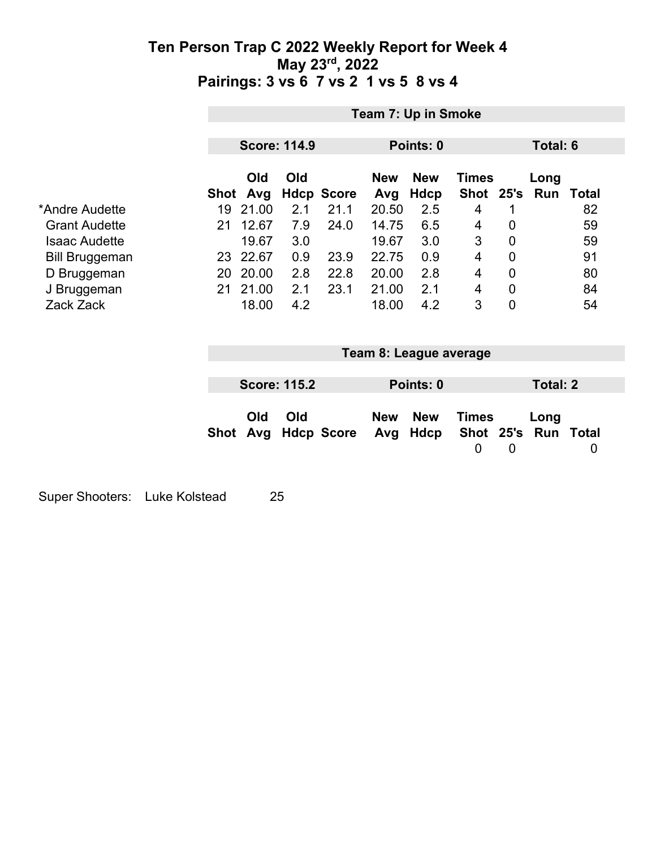|                       |                          | Team 7: Up in Smoke      |                                                |                                                                                   |  |  |  |  |  |
|-----------------------|--------------------------|--------------------------|------------------------------------------------|-----------------------------------------------------------------------------------|--|--|--|--|--|
|                       |                          | <b>Score: 114.9</b>      | Points: 0                                      | Total: 6                                                                          |  |  |  |  |  |
|                       | Old<br>Shot Avg          | Old<br><b>Hdcp Score</b> | <b>New</b><br><b>New</b><br><b>Hdcp</b><br>Avg | <b>Times</b><br>Long<br>Shot 25's Run<br>Total                                    |  |  |  |  |  |
| *Andre Audette        | 19 21.00                 | 21.1<br>2.1              | 20.50<br>2.5                                   | $\overline{4}$<br>82<br>1                                                         |  |  |  |  |  |
| <b>Grant Audette</b>  | 12.67<br>21              | 7.9<br>24.0              | 6.5<br>14.75                                   | 0<br>59<br>4                                                                      |  |  |  |  |  |
| <b>Isaac Audette</b>  | 19.67                    | 3.0                      | 19.67<br>3.0                                   | 3<br>0<br>59                                                                      |  |  |  |  |  |
| <b>Bill Bruggeman</b> | 23 22.67                 | 0.9<br>23.9              | 22.75<br>0.9                                   | 91<br>4<br>$\mathbf 0$                                                            |  |  |  |  |  |
| D Bruggeman           | 20 20.00                 | 22.8<br>2.8              | 2.8<br>20.00                                   | 80<br>0<br>$\overline{4}$                                                         |  |  |  |  |  |
| J Bruggeman           | 21.00<br>21 <sup>1</sup> | 23.1<br>2.1              | 21.00<br>2.1                                   | $\overline{4}$<br>$\mathbf 0$<br>84                                               |  |  |  |  |  |
| Zack Zack             | 18.00                    | 4.2                      | 18.00<br>4.2                                   | 3<br>$\overline{0}$<br>54                                                         |  |  |  |  |  |
|                       |                          |                          | Team 8: League average                         |                                                                                   |  |  |  |  |  |
|                       |                          | <b>Score: 115.2</b>      | Points: 0                                      | <b>Total: 2</b>                                                                   |  |  |  |  |  |
|                       | Old<br>Shot<br>Avg       | Old<br><b>Hdcp Score</b> | <b>New</b><br><b>New</b><br>Hdcp<br>Avg        | <b>Times</b><br>Long<br>Shot 25's Run<br>Total<br>$\mathbf 0$<br>$\mathbf 0$<br>0 |  |  |  |  |  |

Super Shooters: Luke Kolstead 25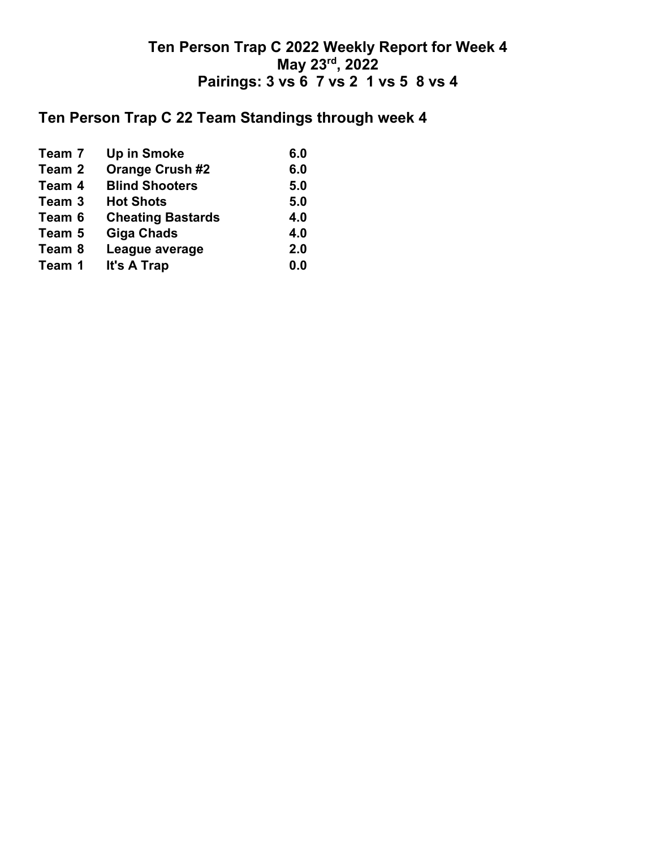## **Ten Person Trap C 22 Team Standings through week 4**

| 6.0 |
|-----|
| 6.0 |
| 5.0 |
| 5.0 |
| 4.0 |
| 4.0 |
| 2.0 |
| 0.0 |
|     |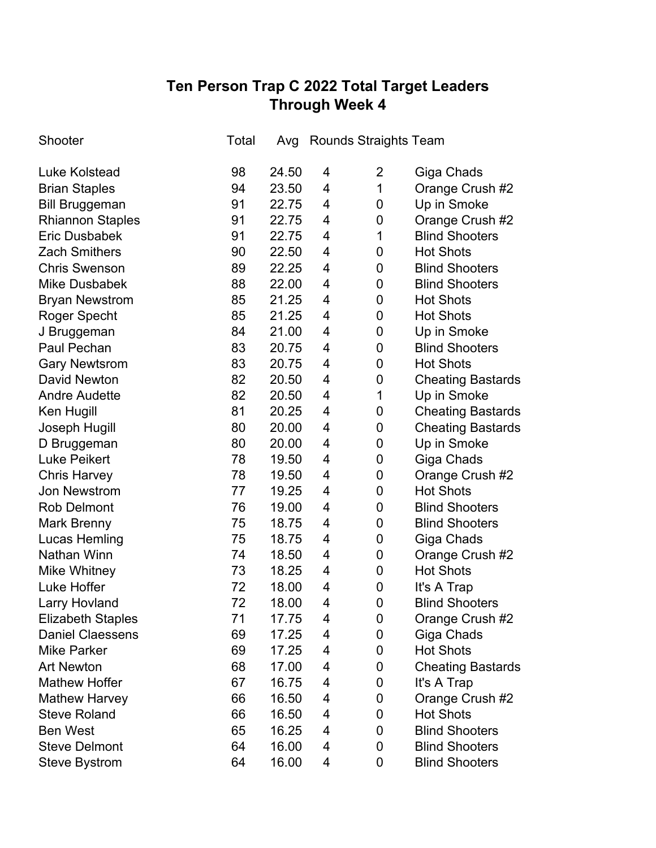# **Ten Person Trap C 2022 Total Target Leaders Through Week 4**

| Shooter                  | Total | Avg   | <b>Rounds Straights Team</b> |                |                          |
|--------------------------|-------|-------|------------------------------|----------------|--------------------------|
| Luke Kolstead            | 98    | 24.50 | 4                            | $\overline{2}$ | Giga Chads               |
| <b>Brian Staples</b>     | 94    | 23.50 | 4                            | 1              | Orange Crush #2          |
| <b>Bill Bruggeman</b>    | 91    | 22.75 | 4                            | 0              | Up in Smoke              |
| <b>Rhiannon Staples</b>  | 91    | 22.75 | 4                            | 0              | Orange Crush #2          |
| <b>Eric Dusbabek</b>     | 91    | 22.75 | 4                            | 1              | <b>Blind Shooters</b>    |
| <b>Zach Smithers</b>     | 90    | 22.50 | 4                            | 0              | <b>Hot Shots</b>         |
| <b>Chris Swenson</b>     | 89    | 22.25 | 4                            | 0              | <b>Blind Shooters</b>    |
| <b>Mike Dusbabek</b>     | 88    | 22.00 | 4                            | 0              | <b>Blind Shooters</b>    |
| <b>Bryan Newstrom</b>    | 85    | 21.25 | 4                            | 0              | <b>Hot Shots</b>         |
| Roger Specht             | 85    | 21.25 | 4                            | 0              | <b>Hot Shots</b>         |
| J Bruggeman              | 84    | 21.00 | 4                            | 0              | Up in Smoke              |
| Paul Pechan              | 83    | 20.75 | 4                            | 0              | <b>Blind Shooters</b>    |
| <b>Gary Newtsrom</b>     | 83    | 20.75 | 4                            | 0              | <b>Hot Shots</b>         |
| <b>David Newton</b>      | 82    | 20.50 | 4                            | 0              | <b>Cheating Bastards</b> |
| <b>Andre Audette</b>     | 82    | 20.50 | 4                            | 1              | Up in Smoke              |
| Ken Hugill               | 81    | 20.25 | 4                            | 0              | <b>Cheating Bastards</b> |
| Joseph Hugill            | 80    | 20.00 | 4                            | 0              | <b>Cheating Bastards</b> |
| D Bruggeman              | 80    | 20.00 | 4                            | 0              | Up in Smoke              |
| <b>Luke Peikert</b>      | 78    | 19.50 | 4                            | 0              | Giga Chads               |
| <b>Chris Harvey</b>      | 78    | 19.50 | 4                            | 0              | Orange Crush #2          |
| Jon Newstrom             | 77    | 19.25 | 4                            | 0              | <b>Hot Shots</b>         |
| <b>Rob Delmont</b>       | 76    | 19.00 | 4                            | 0              | <b>Blind Shooters</b>    |
| <b>Mark Brenny</b>       | 75    | 18.75 | 4                            | 0              | <b>Blind Shooters</b>    |
| <b>Lucas Hemling</b>     | 75    | 18.75 | 4                            | 0              | Giga Chads               |
| <b>Nathan Winn</b>       | 74    | 18.50 | 4                            | 0              | Orange Crush #2          |
| <b>Mike Whitney</b>      | 73    | 18.25 | 4                            | 0              | <b>Hot Shots</b>         |
| Luke Hoffer              | 72    | 18.00 | 4                            | 0              | It's A Trap              |
| Larry Hovland            | 72    | 18.00 | 4                            | $\mathbf 0$    | <b>Blind Shooters</b>    |
| <b>Elizabeth Staples</b> | 71    | 17.75 | 4                            | 0              | Orange Crush #2          |
| <b>Daniel Claessens</b>  | 69    | 17.25 | 4                            | 0              | Giga Chads               |
| <b>Mike Parker</b>       | 69    | 17.25 | 4                            | 0              | <b>Hot Shots</b>         |
| <b>Art Newton</b>        | 68    | 17.00 | 4                            | 0              | <b>Cheating Bastards</b> |
| <b>Mathew Hoffer</b>     | 67    | 16.75 | 4                            | 0              | It's A Trap              |
| <b>Mathew Harvey</b>     | 66    | 16.50 | 4                            | 0              | Orange Crush #2          |
| <b>Steve Roland</b>      | 66    | 16.50 | 4                            | 0              | <b>Hot Shots</b>         |
| <b>Ben West</b>          | 65    | 16.25 | 4                            | 0              | <b>Blind Shooters</b>    |
| <b>Steve Delmont</b>     | 64    | 16.00 | 4                            | 0              | <b>Blind Shooters</b>    |
| <b>Steve Bystrom</b>     | 64    | 16.00 | 4                            | 0              | <b>Blind Shooters</b>    |